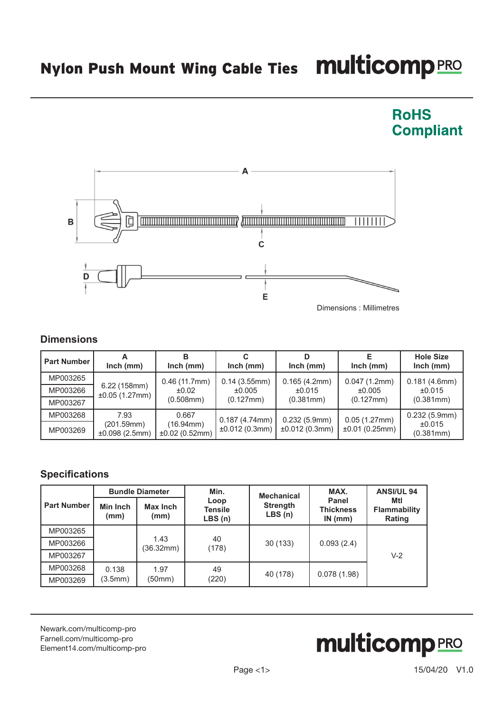## Nylon Push Mount Wing Cable Ties Multicomp PRO



Dimensions : Millimetres

**RoHS** 

**Compliant** 

## **Dimensions**

| <b>Part Number</b> | $lnch$ (mm)                   | $lnch$ (mm)                              | $lnch$ (mm)                                   | $lnch$ (mm)                         | $lnch$ (mm)                         | <b>Hole Size</b><br>$lnch$ (mm)     |
|--------------------|-------------------------------|------------------------------------------|-----------------------------------------------|-------------------------------------|-------------------------------------|-------------------------------------|
| MP003265           |                               | 0.46(11.7mm)<br>±0.02<br>$(0.508$ mm $)$ | 0.14(3.55mm)<br>±0.005<br>$(0.127 \text{mm})$ | 0.165(4.2mm)<br>±0.015<br>(0.381mm) | 0.047(1.2mm)<br>±0.005<br>(0.127mm) | 0.181(4.6mm)<br>±0.015<br>(0.381mm) |
| MP003266           | 6.22 (158mm)<br>±0.05(1.27mm) |                                          |                                               |                                     |                                     |                                     |
| MP003267           |                               |                                          |                                               |                                     |                                     |                                     |
| MP003268           | 7.93                          | 0.667                                    | 0.187(4.74mm)                                 | 0.232(5.9mm)                        | 0.05(1.27mm)                        | 0.232(5.9mm)                        |
| MP003269           | (201.59mm)<br>±0.098(2.5mm)   | $(16.94 \text{mm})$<br>±0.02(0.52mm)     | ±0.012(0.3mm)                                 | ±0.012(0.3mm)                       | ±0.01(0.25mm)                       | ±0.015<br>(0.381mm)                 |

## **Specifications**

| <b>Part Number</b> | <b>Bundle Diameter</b> |                   | Min.                             | <b>Mechanical</b>         | MAX.                                       | <b>ANSI/UL 94</b>                    |
|--------------------|------------------------|-------------------|----------------------------------|---------------------------|--------------------------------------------|--------------------------------------|
|                    | Min Inch<br>(mm)       | Max Inch<br>(mm)  | Loop<br><b>Tensile</b><br>LBS(n) | <b>Strength</b><br>LBS(n) | <b>Panel</b><br><b>Thickness</b><br>IN(mm) | Mtl<br><b>Flammability</b><br>Rating |
| MP003265           |                        |                   | 40<br>(178)                      | 30 (133)                  | 0.093(2.4)                                 | $V-2$                                |
| MP003266           |                        | 1.43<br>(36.32mm) |                                  |                           |                                            |                                      |
| MP003267           |                        |                   |                                  |                           |                                            |                                      |
| MP003268           | 0.138<br>(3.5mm)       | 1.97<br>(50mm)    | 49<br>(220)                      | 40 (178)                  | 0.078(1.98)                                |                                      |
| MP003269           |                        |                   |                                  |                           |                                            |                                      |

[Newark.com/multicomp-](https://www.newark.com/multicomp-pro)pro [Farnell.com/multicomp](https://www.farnell.com/multicomp-pro)-pro [Element14.com/multicomp-pro](https://element14.com/multicomp-pro)